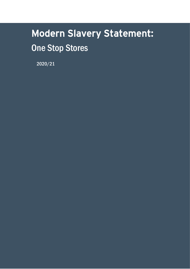# Modern Slavery Statement: One Stop Stores

2020/21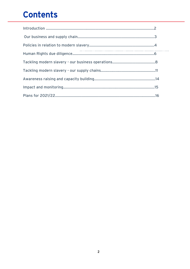# **Contents**

l,

 $\frac{1}{2}$ 

 $\hat{\boldsymbol{\beta}}$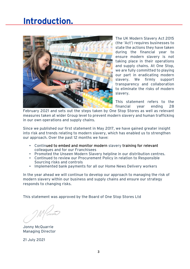### Introduction.



The UK Modern Slavery Act 2015 (the 'Act') requires businesses to state the actions they have taken during the financial year to ensure modern slavery is not taking place in their operations and supply chains. At One Stop, we are fully committed to playing our part in eradicating modern slavery. We firmly support transparency and collaboration to eliminate the risks of modern slavery.

This statement refers to the financial year ending 28

February 2021 and sets out the steps taken by One Stop Stores as well as relevant measures taken at wider Group level to prevent modern slavery and human trafficking in our own operations and supply chains.

Since we published our first statement in May 2017, we have gained greater insight into risk and trends relating to modern slavery, which has enabled us to strengthen our approach. Over the past 12 months we have:

- Continued to embed and monitor modern slavery training for relevant colleagues and for our Franchisees
- Promoted the Unseen Modern Slavery helpline in our distribution centres.
- Continued to review our Procurement Policy in relation to Responsible Sourcing risks and controls
- Implemented bank payments for all our Home News Delivery workers

In the year ahead we will continue to develop our approach to managing the risk of modern slavery within our business and supply chains and ensure our strategy responds to changing risks.

This statement was approved by the Board of One Stop Stores Ltd

Cam

Jonny McQuarrie Managing Director

21 July 2021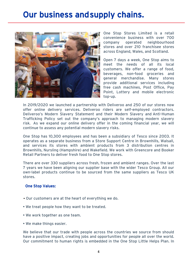# Our business and supply chains.



One Stop Stores Limited is a retail convenience business with over 700 company operated neighbourhood stores and over 210 franchisee stores across England, Wales, and Scotland.

Open 7 days a week, One Stop aims to meet the needs of all its local customers. We offer a range of food, beverages, non-food groceries and general merchandise. Many stores provide additional services including free cash machines, Post Office, Pay Point, Lottery and mobile electronic top-up.

In 2019/2020 we launched a partnership with Deliveroo and 250 of our stores now offer online delivery services. Deliveroo riders are self-employed contractors. Deliveroo's Modern Slavery Statement and their Modern Slavery and Anti-Human Trafficking Policy set out the company's approach to managing modern slavery risk. As we expand our online delivery offer in the coming financial year, we will continue to assess any potential modern slavery risks.

One Stop has 10,300 employees and has been a subsidiary of Tesco since 2003. It operates as a separate business from a Store Support Centre in Brownhills, Walsall, and services its stores with ambient products from 3 distribution centres in Brownhills, Nursling (Hampshire) and Wakefield. We work with Greencore and Booker Retail Partners to deliver fresh food to One Stop stores.

There are over 330 suppliers across fresh, frozen and ambient ranges. Over the last 7 years we have been aligning our supplier base with the wider Tesco Group. All our own-label products continue to be sourced from the same suppliers as Tesco UK stores.

#### One Stop Values:

- Our customers are at the heart of everything we do.
- We treat people how they want to be treated.
- We work together as one team.
- We make things easier.

We believe that our trade with people across the countries we source from should have a positive impact, creating jobs and opportunities for people all over the world. Our commitment to human rights is embedded in the One Stop Little Helps Plan. In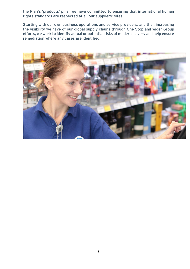the Plan's 'products' pillar we have committed to ensuring that international human rights standards are respected at all our suppliers' sites.

Starting with our own business operations and service providers, and then increasing the visibility we have of our global supply chains through One Stop and wider Group efforts, we work to identify actual or potential risks of modern slavery and help ensure remediation where any cases are identified.

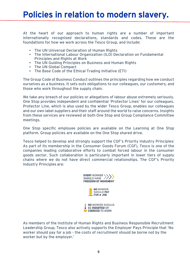## Policies in relation to modern slavery. Ī

At the heart of our approach to human rights are a number of important internationally recognised declarations, standards and codes. These are the foundations for how we work across the Tesco Group, and include:

- The UN Universal Declaration of Human Rights
- The International Labour Organization (ILO) Declaration on Fundamental Principles and Rights at Work
- The UN Guiding Principles on Business and Human Rights
- The UN Global Compact
- The Base Code of the Ethical Trading Initiative (ETI)

The Group Code of Business Conduct outlines the principles regarding how we conduct ourselves as a business. It sets outs obligations to our colleagues, our customers, and those who work throughout the supply chain.

We take any breach of our policies or allegations of labour abuse extremely seriously. One Stop provides independent and confidential 'Protector Lines' for our colleagues. Protector Line, which is also used by the wider Tesco Group, enables our colleagues and our own label suppliers and their staff around the world to raise concerns. Insights from these services are reviewed at both One Stop and Group Compliance Committee meetings.

One Stop specific employee policies are available on the Learning at One Stop platform. Group policies are available on the One Stop shared drive.

Tesco helped to develop and strongly support the CGF's Priority Industry Principles: As part of its membership in the Consumer Goods Forum (CGF), Tesco is one of the companies leading collaborative efforts to combat forced labour in the consumer goods sector. Such collaboration is particularly important in lower tiers of supply chains where we do not have direct commercial relationships. The CGF's Priority Industry Principles are:



As members of the Institute of Human Rights and Business Responsible Recruitment Leadership Group, Tesco also actively supports the Employer Pays Principle that 'No worker should pay for a job - the costs of recruitment should be borne not by the worker but by the employer.'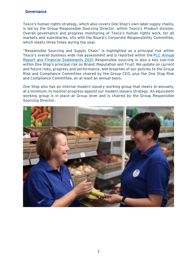#### Governance

Tesco's human rights strategy, which also covers One Stop's own label supply chains, is led by the Group Responsible Sourcing Director, within Tesco's Product division. Overall governance and progress monitoring of Tesco's human rights work, for all markets and subsidiaries, sits with the Board's Corporate Responsibility Committee, which meets three times during the year.

"Responsible Sourcing and Supply Chain" is highlighted as a principal risk within Tesco's overall business wide risk assessment and is reported within the [PLC Annual](https://www.tescoplc.com/investors/reports-results-and-presentations/annual-report-2021/)  [Report and Financial Statements 2021](https://www.tescoplc.com/investors/reports-results-and-presentations/annual-report-2021/). Responsible sourcing is also a key sub-risk within One Stop's principal risk on Brand, Reputation and Trust. We update on current and future risks, progress and performance, and breaches of our policies to the Group Risk and Compliance Committee chaired by the Group CEO, plus the One Stop Risk and Compliance Committee, on at least an annual basis.

One Stop also has an internal modern slavery working group that meets bi-annually, at a minimum, to monitor progress against our modern slavery strategy. An equivalent working group is in place at Group level and is chaired by the Group Responsible Sourcing Director.

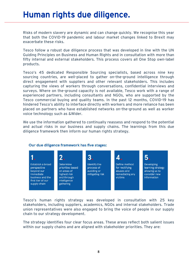# Human rights due diligence.

Risks of modern slavery are dynamic and can change quickly. We recognise this year that both the COVID-19 pandemic and labour market changes linked to Brexit may exacerbate these risks.

Tesco follow a robust due diligence process that was developed in line with the UN Guiding Principles on Business and Human Rights and in consultation with more than fifty internal and external stakeholders. This process covers all One Stop own-label products.

Tesco's 45 dedicated Responsible Sourcing specialists, based across nine key sourcing countries, are well-placed to gather on-the-ground intelligence through direct engagement with suppliers and other relevant stakeholders. This includes capturing the views of workers through conversations, confidential interviews and surveys. Where on the-ground capacity is not available, Tesco work with a range of experienced partners, including consultants and NGOs, who are supported by the Tesco commercial buying and quality teams. In the past 12 months, COVID-19 has hindered Tesco's ability to interface directly with workers and more reliance has been placed on partners who have established networks on-the-ground as well as worker voice technology such as &Wider.

We use the information gathered to continually reassess and respond to the potential and actual risks in our business and supply chains. The learnings from this due diligence framework then inform our human rights strategy.



#### Our due diligence framework has five stages:

Tesco's human rights strategy was developed in consultation with 25 key stakeholders, including suppliers, academics, NGOs and internal stakeholders. Trade union representatives were also engaged to bring the voice of people in our supply chain to our strategy development.

The strategy identifies four clear focus areas. These areas reflect both salient issues within our supply chains and are aligned with stakeholder priorities. They are: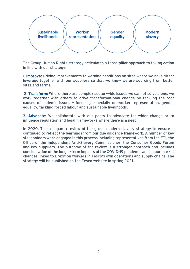

The Group Human Rights strategy articulates a three-pillar approach to taking action in line with our strategy:

1. **Improve:** Driving improvements to working conditions on sites where we have direct leverage together with our suppliers so that we know we are sourcing from better sites and farms.

2. Transform: Where there are complex sector-wide issues we cannot solve alone, we work together with others to drive transformational change by tackling the root causes of endemic issues – focusing especially on worker representation, gender equality, tackling forced labour and sustainable livelihoods.

3. Advocate: We collaborate with our peers to advocate for wider change or to influence regulation and legal frameworks where there is a need.

In 2020, Tesco began a review of the group modern slavery strategy to ensure it continued to reflect the learnings from our due diligence framework. A number of key stakeholders were engaged in this process including representatives from the ETI, the Office of the Independent Anti-Slavery Commissioner, the Consumer Goods Forum and key suppliers. The outcome of the review is a stronger approach and includes consideration of the longer-term impacts of the COVID-19 pandemic and labour market changes linked to Brexit on workers in Tesco's own operations and supply chains. The strategy will be published on the Tesco website in spring 2021.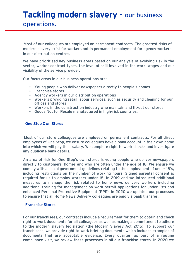### Tackling modern slavery - our business operations.

Most of our colleagues are employed on permanent contracts. The greatest risks of modern slavery exist for workers not in permanent employment for agency workers in our distribution centres.

We have prioritised key business areas based on our analysis of evolving risk in the sector, worker contract types, the level of skill involved in the work, wages and our visibility of the service provider.

Our focus areas in our business operations are:

- Young people who deliver newspapers directly to people's homes
- Franchise stores
- Agency workers in our distribution operations
- Workers providing retail labour services, such as security and cleaning for our offices and stores
- Workers in the construction industry who maintain and fit-out our stores
- Goods Not for Resale manufactured in high-risk countries.

#### One Stop Own Stores

Most of our store colleagues are employed on permanent contracts. For all direct employees of One Stop, we ensure colleagues have a bank account in their own name into which we will pay their salary. We complete right to work checks and investigate any duplicate bank details.

An area of risk for One Stop's own stores is young people who deliver newspapers directly to customers' homes and who are often under the age of 18. We ensure we comply with all local government guidelines relating to the employment of under 18's, including restrictions on the number of working hours. Signed parental consent is required for us to employ workers under 18. In 2019 and we introduced additional measures to manage the risk related to home news delivery workers including additional training for management on work permit applications for under 18's and enhanced Personal Protective Equipment (PPE). In 2020 we updated our processes to ensure that all Home News Delivery colleagues are paid via bank transfer.

#### Franchise Stores

For our franchisees, our contracts include a requirement for them to obtain and check right to work documents for all colleagues as well as making a commitment to adhere to the modern slavery legislation (the Modern Slavery Act 2015). To support our franchisees, we provide right to work briefing documents which includes examples of documents that are acceptable evidence. Every quarter, as part of a routine compliance visit, we review these processes in all our franchise stores. In 2020 we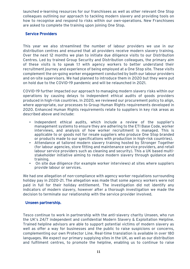launched e-learning resources for our franchisees as well as other relevant One Stop colleagues outlining our approach to tackling modern slavery and providing tools on how to recognise and respond to risks within our own-operations. New Franchisees are asked to complete the training upon joining One Stop.

#### Service Providers

This year we also streamlined the number of labour providers we use in our distribution centres and ensured that all providers receive modern slavery training. Over the next 12 months we plan to initiate due diligence visits to our Distribution Centres. Led by trained Group Security and Distribution colleagues, the primary aim of these visits is to speak 1:1 with agency workers to better understand their recruitment journey and experience of being employed at a One Stop site. These visits complement the on-going worker engagement conducted by both our labour providers and on-site supervisors. We had planned to introduce them in 2020 but they were put on hold due to the COVID-19 pandemic and will be relaunched in 2021.

COVID-19 further impacted our approach to managing modern slavery risks within our operations by causing delays to independent ethical audits of goods providers produced in high-risk countries. In 2020, we reviewed our procurement policy to align, where appropriate, our processes to Group Human Rights requirements developed in 2020. Enhanced Human Rights requirements relate to suppliers in key risk areas as described above and include:

- Independent ethical audits, which include a review of the supplier's management systems to ensure they are adhering to the ETI Base Code, worker interviews, and analysis of how worker recruitment is managed. This is applicable to or goods not for resale suppliers who produce One Stop branded or products made to our specifications with production in high-risk countries).
- Attendance at tailored modern slavery training hosted by Stronger Together (for labour agencies, store fitting and maintenance service providers, and retail labour service providers such as cleaning and security). This a UK based multistakeholder initiative aiming to reduce modern slavery through guidance and training.
- On site due diligence (for example worker interviews) at sites where suppliers provide labour or services.

We had one allegation of non-compliance with agency worker regulations surrounding holiday pay in 2020-21. The allegation was made that some agency workers were not paid in full for their holiday entitlement. The investigation did not identify any indicators of modern slavery, however after a thorough investigation we made the decision to terminate our relationship with the service provider involved.

#### Unseen partnership.

Tesco continue to work in partnership with the anti-slavery charity Unseen, who run the UK's 24/7 independent and confidential Modern Slavery & Exploitation Helpline. Trained helpline advisors are able to support potential victims of modern slavery as well as offer a way for businesses and the public to raise suspicions or concerns, complementing our own Protector Line. Real-time translation is available in over 180 languages. We expect our primary supplying sites in the UK, as well as our distribution and fulfilment centres, to promote the helpline, enabling us to continue to raise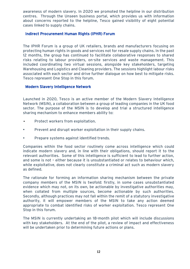awareness of modern slavery. In 2020 we promoted the helpline in our distribution centres. Through the Unseen business portal, which provides us with information about concerns reported to the helpline, Tesco gained visibility of eight potential cases linked to supply chains.

#### Indirect Procurement Human Rights (IPHR) Forum

The IPHR Forum is a group of UK retailers, brands and manufacturers focusing on protecting human rights in goods and services not for resale supply chains. In the past 12 months, the group has continued to facilitate collaborative responses to shared risks relating to labour providers, on-site services and waste management. This included coordinating two virtual sessions, alongside key stakeholders, targeting Warehousing and Logistics and Cleaning providers. The sessions highlight labour risks associated with each sector and drive further dialogue on how best to mitigate risks. Tesco represent One Stop in this forum.

#### Modern Slavery Intelligence Network

Launched in 2020, Tesco is an active member of the Modern Slavery Intelligence Network (MSIN), a collaboration between a group of leading companies in the UK food sector. The purpose of the MSIN is to develop and trial a structured intelligence sharing mechanism to enhance members ability to:

- Protect workers from exploitation.
- Prevent and disrupt worker exploitation in their supply chains.
- Prepare systems against identified trends.

Companies within the food sector routinely come across intelligence which could indicate modern slavery and, in line with their obligations, should report it to the relevant authorities. Some of this intelligence is sufficient to lead to further action, and some is not – either because it is unsubstantiated or relates to behaviour which, while exploitative, does not clearly constitute a criminal act such as modern slavery as defined.

The rationale for forming an information sharing mechanism between the private company members of the MSIN is twofold: firstly, in some cases unsubstantiated evidence which may not, on its own, be actionable by investigative authorities may, when collated from multiple sources, become actionable by such authorities. Secondly, although practices may not fall within the remit of a statutory investigative authority, it will empower members of the MSIN to take any action deemed appropriate to combat identified risks of worker exploitation. Tesco represent One Stop in this forum.

The MSIN is currently undertaking an 18-month pilot which will include discussions with key stakeholders. At the end of the pilot, a review of impact and effectiveness will be undertaken prior to determining future actions or plans.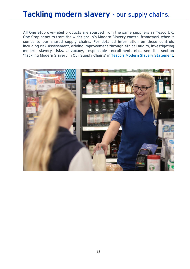### Tackling modern slavery - our supply chains.

All One Stop own-label products are sourced from the same suppliers as Tesco UK. One Stop benefits from the wider group's Modern Slavery control framework when it comes to our shared supply chains. For detailed information on these controls including risk assessment, driving improvement through ethical audits, investigating modern slavery risks, advocacy, responsible recruitment, etc., see the section 'Tackling Modern Slavery in Our Supply Chains' in [Tesco's Modern Slavery Statement](https://www.tescoplc.com/media/757636/tesco-modern-slavery-statement_2021.pdf).

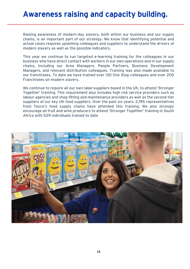### Awareness raising and capacity building.

 $\overline{a}$ 

Raising awareness of modern-day slavery, both within our business and our supply chains, is an important part of our strategy. We know that identifying potential and actual cases requires upskilling colleagues and suppliers to understand the drivers of modern slavery as well as the possible indicators.

This year we continue to run targeted e-learning training for the colleagues in our business who have direct contact with workers in our own operations and in our supply chains, including our Area Managers, People Partners, Business Development Managers, and relevant distribution colleagues. Training was also made available to our franchisees. To date we have trained over 130 One Stop colleagues and over 200 Franchisees on modern slavery.

We continue to require all our own label suppliers based in the UK, to attend 'Stronger Together' training. This requirement also includes high risk service providers such as labour agencies and shop fitting and maintenance providers as well as the second-tier suppliers of our key UK food suppliers. Over the past six years, 2,195 representatives from Tesco's food supply chains have attended this training. We also strongly encourage all fruit and wine producers to attend 'Stronger Together' training in South Africa with 529 individuals trained to date

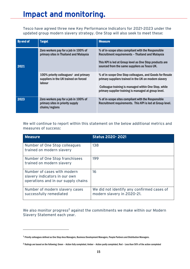Tesco have agreed three new Key Performance Indicators for 2021-2023 under the updated group modern slavery strategy. One Stop will also seek to meet these:

| By end of | <b>Target</b>                                                                                           | <b>Measure</b>                                                                                                                                                                                                                   |
|-----------|---------------------------------------------------------------------------------------------------------|----------------------------------------------------------------------------------------------------------------------------------------------------------------------------------------------------------------------------------|
| 2021      | Zero workers pay for a job in 100% of<br>primary sites in Thailand and Malaysia                         | % of in-scope sites compliant with the Responsible<br>Recruitment requirements - Thailand and Malaysia<br>This KPI is led at Group level as One Stop products are<br>sourced from the same suppliers as Tesco UK.                |
|           | $100\%$ priority colleagues <sup>1</sup> and primary<br>suppliers in the UK trained on forced<br>labour | % of in-scope One Stop colleagues, and Goods for Resale<br>primary suppliers trained in the UK on modern slavery<br>Colleague training is managed within One Stop, while<br>primary supplier training is managed at group level. |
| 2023      | Zero workers pay for a job in 100% of<br>primary sites in priority supply<br>chains/regions             | % of in-scope sites compliant with the Responsible<br>Recruitment requirements. This KPI is led at Group level.                                                                                                                  |

We will continue to report within this statement on the below additional metrics and measures of success:

| <b>Measure</b>                                                                                      | <b>Status 2020-2021</b>                                                  |
|-----------------------------------------------------------------------------------------------------|--------------------------------------------------------------------------|
| Number of One Stop colleagues<br>trained on modern slavery                                          | 138                                                                      |
| Number of One Stop franchisees<br>trained on modern slavery                                         | 199                                                                      |
| Number of cases with modern<br>slavery indicators in our own<br>operations and in our supply chains | 16                                                                       |
| Number of modern slavery cases<br>successfully remediated                                           | We did not identify any confirmed cases of<br>modern slavery in 2020-21. |

We also monitor progress<sup>2</sup> against the commitments we make within our Modern Slavery Statement each year.

<sup>1</sup> Priority colleagues defined as One Stop Area Managers, Business Development Managers, People Partners and Distribution Managers.

<sup>2</sup> Ratings are based on the following; Green – Action fully completed, Amber – Action partly completed, Red – Less than 50% of the action completed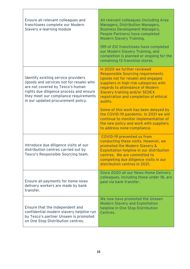| Ensure all relevant colleagues and<br>franchisees complete our Modern<br><b>Slavery e-learning module</b>                                                                                                                                    | All relevant colleagues (including Area<br><b>Managers, Distribution Managers,</b><br><b>Business Development Managers,</b><br><b>People Partners) have completed</b><br><b>Modern Slavery Training.</b>                                                                                                                                                                                                                                                      |
|----------------------------------------------------------------------------------------------------------------------------------------------------------------------------------------------------------------------------------------------|---------------------------------------------------------------------------------------------------------------------------------------------------------------------------------------------------------------------------------------------------------------------------------------------------------------------------------------------------------------------------------------------------------------------------------------------------------------|
|                                                                                                                                                                                                                                              | 199 of 212 franchisees have completed<br>our Modern Slavery Training, and<br>completion is planned or ongoing for the<br>remaining 13 franchise stores.                                                                                                                                                                                                                                                                                                       |
| Identify existing service providers<br>(goods and services not for resale) who<br>are not covered by Tesco's human<br>rights due diligence process and ensure<br>they meet our compliance requirements<br>in our updated procurement policy. | In 2020 we further reviewed<br><b>Responsible Sourcing requirements</b><br>(goods not for resale) and engaged<br>suppliers in high-risk categories with<br>regards to attendance of Modern<br><b>Slavery training and/or SEDEX</b><br>registration and completion of ethical<br>audits.<br>Some of this work has been delayed by<br>the COVID-19 pandemic. In 2021 we will<br>continue to monitor implementation of<br>the new policy and work with suppliers |
| Introduce due diligence visits at our<br>distribution centres carried out by<br>Tesco's Responsible Sourcing team.                                                                                                                           | to address none-compliance.<br>COVID-19 prevented us from<br>conducting these visits. However, we<br>promoted the Modern Slavery &<br><b>Exploitation helpline in our distribution</b><br>centres. We are committed to<br>completing due diligence visits in our<br>distribution centres in 2021.                                                                                                                                                             |
| Ensure all payments for home news<br>delivery workers are made by bank<br>transfer.                                                                                                                                                          | Since 2020 all our News Home Delivery<br>colleagues, including those under 18, are<br>paid via bank transfer.                                                                                                                                                                                                                                                                                                                                                 |
| Ensure that the independent and<br>confidential modern slavery helpline run<br>by Tesco's partner Unseen is promoted<br>on One Stop Distribution centres.                                                                                    | We now have promoted the Unseen<br><b>Modern Slavery and Exploitation</b><br>helpline in One Stop Distribution<br>Centres.                                                                                                                                                                                                                                                                                                                                    |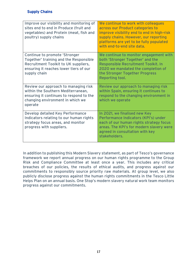#### Supply Chains

| Improve our visibility and monitoring of<br>sites end to end in Produce (fruit and<br>vegetables) and Protein (meat, fish and<br>poultry) supply chains                   | We continue to work with colleagues<br>across our Product categories to<br>improve visibility end to end in high-risk<br>supply chains. However, our reporting<br>platforms are yet to be fully populated<br>with end-to-end site data. |
|---------------------------------------------------------------------------------------------------------------------------------------------------------------------------|-----------------------------------------------------------------------------------------------------------------------------------------------------------------------------------------------------------------------------------------|
| Continue to promote 'Stronger<br>Together' training and the Responsible<br>Recruitment Toolkit to UK suppliers,<br>ensuring it reaches lower tiers of our<br>supply chain | We continue to monitor engagement with<br>both 'Stronger Together' and the<br>Responsible Recruitment Toolkit. In<br>2020 we mandated the completion of<br>the Stronger Together Progress<br>Reporting tool.                            |
| Review our approach to managing risk<br>within the Southern Mediterranean,<br>ensuring it continues to respond to the<br>changing environment in which we<br>operate      | Review our approach to managing risk<br>within Spain, ensuring it continues to<br>respond to the changing environment in<br>which we operate                                                                                            |
| Develop detailed Key Performance<br>Indicators relating to our human rights<br>strategy focus areas, and monitor<br>progress with suppliers.                              | In 2021, we finalised new Key<br>Performance Indicators (KPI's) under<br>each of our human rights strategy focus<br>areas. The KPI's for modern slavery were<br>agreed in consultation with key<br>stakeholders.                        |

In addition to publishing this Modern Slavery statement, as part of Tesco's governance framework we report annual progress on our human rights programme to the Group Risk and Compliance Committee at least once a year. This includes any critical breaches of our policies, the results of ethical audits, and progress against our commitments to responsibly source priority raw materials. At group level, we also publicly disclose progress against the human rights commitments in the Tesco Little Helps Plan on an annual basis. One Stop's modern slavery natural work team monitors progress against our commitments.